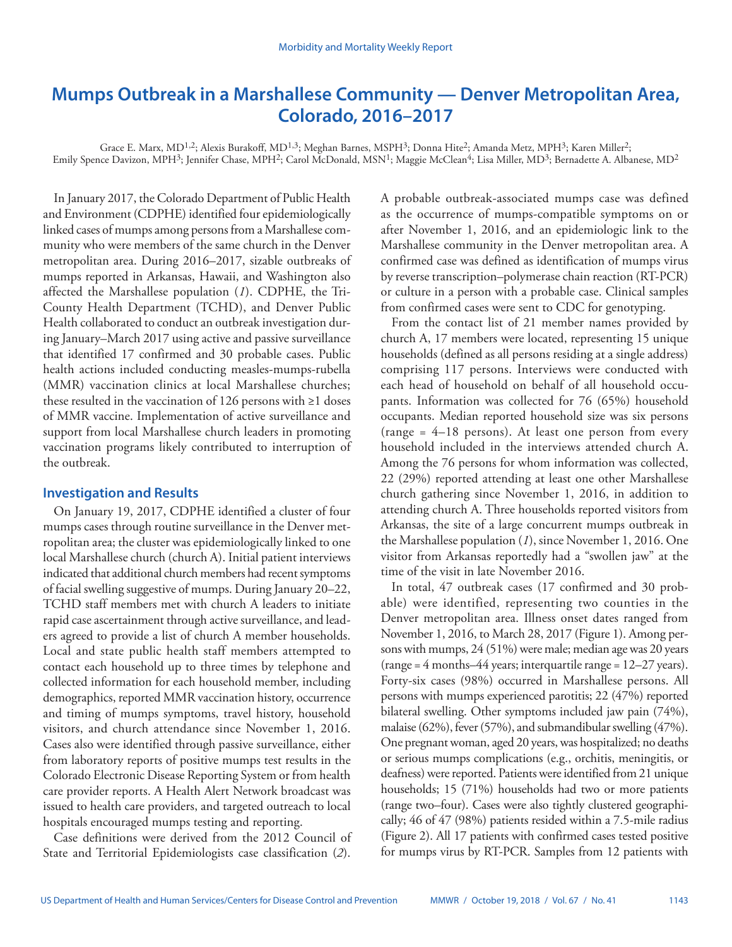# **Mumps Outbreak in a Marshallese Community — Denver Metropolitan Area, Colorado, 2016–2017**

Grace E. Marx,  $MD^{1,2}$ ; Alexis Burakoff, MD<sup>1,3</sup>; Meghan Barnes, MSPH<sup>3</sup>; Donna Hite<sup>2</sup>; Amanda Metz, MPH<sup>3</sup>; Karen Miller<sup>2</sup>; Emily Spence Davizon, MPH<sup>3</sup>; Jennifer Chase, MPH<sup>2</sup>; Carol McDonald, MSN<sup>1</sup>; Maggie McClean<sup>4</sup>; Lisa Miller, MD<sup>3</sup>; Bernadette A. Albanese, MD<sup>2</sup>

In January 2017, the Colorado Department of Public Health and Environment (CDPHE) identified four epidemiologically linked cases of mumps among persons from a Marshallese community who were members of the same church in the Denver metropolitan area. During 2016–2017, sizable outbreaks of mumps reported in Arkansas, Hawaii, and Washington also affected the Marshallese population (*1*). CDPHE, the Tri-County Health Department (TCHD), and Denver Public Health collaborated to conduct an outbreak investigation during January–March 2017 using active and passive surveillance that identified 17 confirmed and 30 probable cases. Public health actions included conducting measles-mumps-rubella (MMR) vaccination clinics at local Marshallese churches; these resulted in the vaccination of 126 persons with ≥1 doses of MMR vaccine. Implementation of active surveillance and support from local Marshallese church leaders in promoting vaccination programs likely contributed to interruption of the outbreak.

# **Investigation and Results**

On January 19, 2017, CDPHE identified a cluster of four mumps cases through routine surveillance in the Denver metropolitan area; the cluster was epidemiologically linked to one local Marshallese church (church A). Initial patient interviews indicated that additional church members had recent symptoms of facial swelling suggestive of mumps. During January 20–22, TCHD staff members met with church A leaders to initiate rapid case ascertainment through active surveillance, and leaders agreed to provide a list of church A member households. Local and state public health staff members attempted to contact each household up to three times by telephone and collected information for each household member, including demographics, reported MMR vaccination history, occurrence and timing of mumps symptoms, travel history, household visitors, and church attendance since November 1, 2016. Cases also were identified through passive surveillance, either from laboratory reports of positive mumps test results in the Colorado Electronic Disease Reporting System or from health care provider reports. A Health Alert Network broadcast was issued to health care providers, and targeted outreach to local hospitals encouraged mumps testing and reporting.

Case definitions were derived from the 2012 Council of State and Territorial Epidemiologists case classification (*2*).

A probable outbreak-associated mumps case was defined as the occurrence of mumps-compatible symptoms on or after November 1, 2016, and an epidemiologic link to the Marshallese community in the Denver metropolitan area. A confirmed case was defined as identification of mumps virus by reverse transcription–polymerase chain reaction (RT-PCR) or culture in a person with a probable case. Clinical samples from confirmed cases were sent to CDC for genotyping.

From the contact list of 21 member names provided by church A, 17 members were located, representing 15 unique households (defined as all persons residing at a single address) comprising 117 persons. Interviews were conducted with each head of household on behalf of all household occupants. Information was collected for 76 (65%) household occupants. Median reported household size was six persons (range  $= 4-18$  persons). At least one person from every household included in the interviews attended church A. Among the 76 persons for whom information was collected, 22 (29%) reported attending at least one other Marshallese church gathering since November 1, 2016, in addition to attending church A. Three households reported visitors from Arkansas, the site of a large concurrent mumps outbreak in the Marshallese population (*1*), since November 1, 2016. One visitor from Arkansas reportedly had a "swollen jaw" at the time of the visit in late November 2016.

In total, 47 outbreak cases (17 confirmed and 30 probable) were identified, representing two counties in the Denver metropolitan area. Illness onset dates ranged from November 1, 2016, to March 28, 2017 (Figure 1). Among persons with mumps, 24 (51%) were male; median age was 20 years (range = 4 months–44 years; interquartile range = 12–27 years). Forty-six cases (98%) occurred in Marshallese persons. All persons with mumps experienced parotitis; 22 (47%) reported bilateral swelling. Other symptoms included jaw pain (74%), malaise (62%), fever (57%), and submandibular swelling (47%). One pregnant woman, aged 20 years, was hospitalized; no deaths or serious mumps complications (e.g., orchitis, meningitis, or deafness) were reported. Patients were identified from 21 unique households; 15 (71%) households had two or more patients (range two–four). Cases were also tightly clustered geographically; 46 of 47 (98%) patients resided within a 7.5-mile radius (Figure 2). All 17 patients with confirmed cases tested positive for mumps virus by RT-PCR. Samples from 12 patients with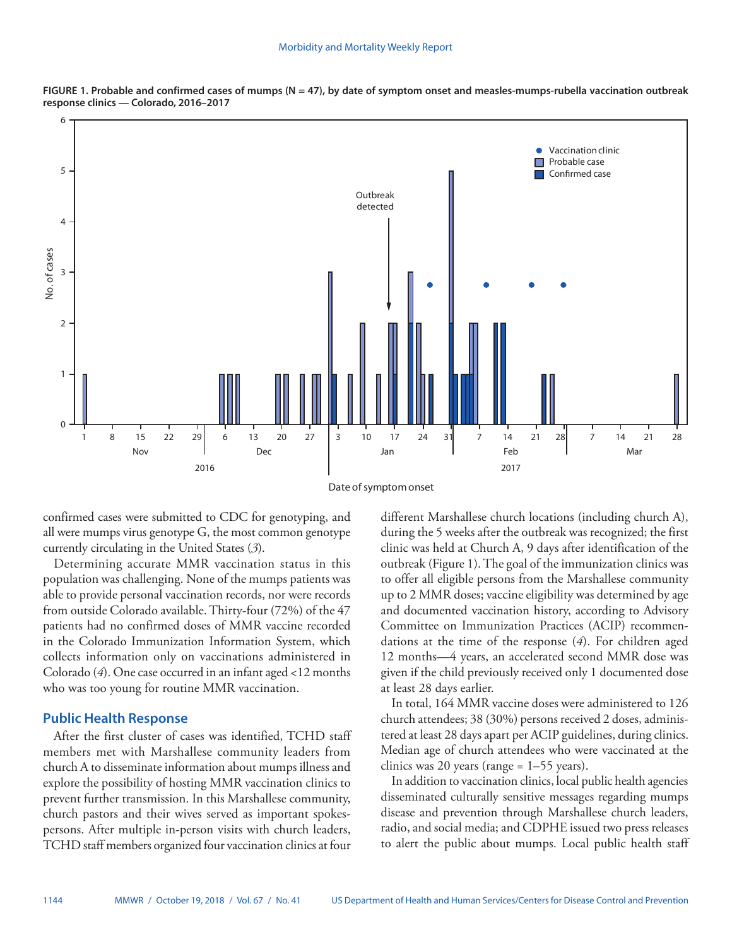

FIGURE 1. Probable and confirmed cases of mumps (N = 47), by date of symptom onset and measles-mumps-rubella vaccination outbreak **response clinics — Colorado, 2016–2017**

Date of symptom onset

confirmed cases were submitted to CDC for genotyping, and all were mumps virus genotype G, the most common genotype currently circulating in the United States (*3*).

Determining accurate MMR vaccination status in this population was challenging. None of the mumps patients was able to provide personal vaccination records, nor were records from outside Colorado available. Thirty-four (72%) of the 47 patients had no confirmed doses of MMR vaccine recorded in the Colorado Immunization Information System, which collects information only on vaccinations administered in Colorado (*4*). One case occurred in an infant aged <12 months who was too young for routine MMR vaccination.

# **Public Health Response**

After the first cluster of cases was identified, TCHD staff members met with Marshallese community leaders from church A to disseminate information about mumps illness and explore the possibility of hosting MMR vaccination clinics to prevent further transmission. In this Marshallese community, church pastors and their wives served as important spokespersons. After multiple in-person visits with church leaders, TCHD staff members organized four vaccination clinics at four

different Marshallese church locations (including church A), during the 5 weeks after the outbreak was recognized; the first clinic was held at Church A, 9 days after identification of the outbreak (Figure 1). The goal of the immunization clinics was to offer all eligible persons from the Marshallese community up to 2 MMR doses; vaccine eligibility was determined by age and documented vaccination history, according to Advisory Committee on Immunization Practices (ACIP) recommendations at the time of the response (*4*). For children aged 12 months—4 years, an accelerated second MMR dose was given if the child previously received only 1 documented dose at least 28 days earlier.

In total, 164 MMR vaccine doses were administered to 126 church attendees; 38 (30%) persons received 2 doses, administered at least 28 days apart per ACIP guidelines, during clinics. Median age of church attendees who were vaccinated at the clinics was 20 years (range  $= 1-55$  years).

In addition to vaccination clinics, local public health agencies disseminated culturally sensitive messages regarding mumps disease and prevention through Marshallese church leaders, radio, and social media; and CDPHE issued two press releases to alert the public about mumps. Local public health staff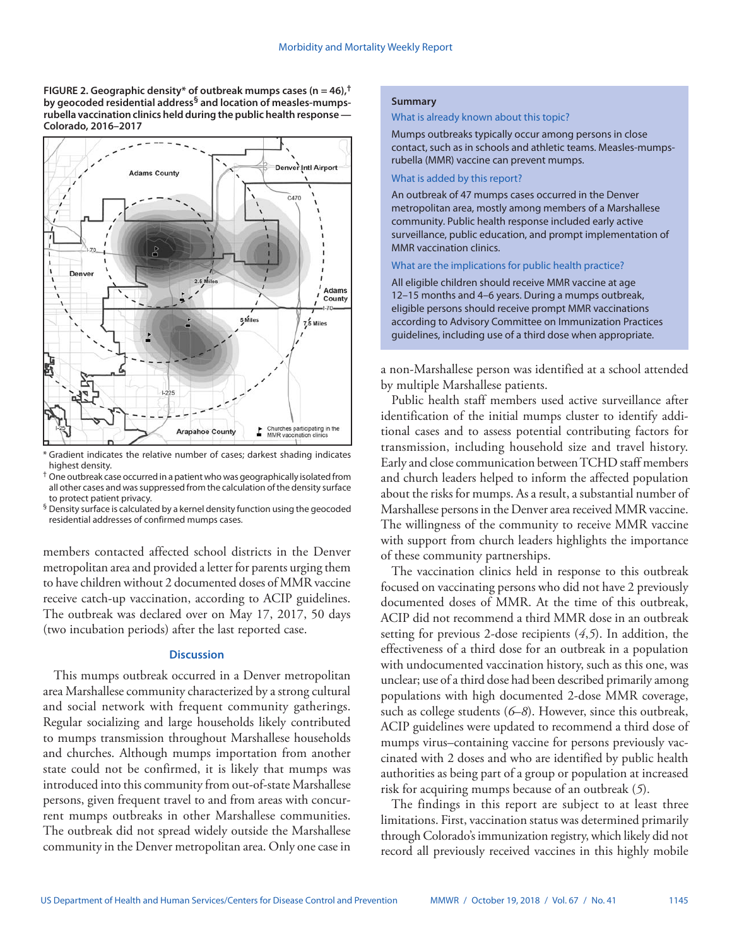**FIGURE 2. Geographic density\* of outbreak mumps cases (n = 46),† by geocoded residential address§ and location of measles-mumpsrubella vaccination clinics held during the public health response — Colorado, 2016–2017**



Gradient indicates the relative number of cases; darkest shading indicates highest density.

† One outbreak case occurred in a patient who was geographically isolated from all other cases and was suppressed from the calculation of the density surface to protect patient privacy.

members contacted affected school districts in the Denver metropolitan area and provided a letter for parents urging them to have children without 2 documented doses of MMR vaccine receive catch-up vaccination, according to ACIP guidelines. The outbreak was declared over on May 17, 2017, 50 days (two incubation periods) after the last reported case.

## **Discussion**

This mumps outbreak occurred in a Denver metropolitan area Marshallese community characterized by a strong cultural and social network with frequent community gatherings. Regular socializing and large households likely contributed to mumps transmission throughout Marshallese households and churches. Although mumps importation from another state could not be confirmed, it is likely that mumps was introduced into this community from out-of-state Marshallese persons, given frequent travel to and from areas with concurrent mumps outbreaks in other Marshallese communities. The outbreak did not spread widely outside the Marshallese community in the Denver metropolitan area. Only one case in

#### **Summary**

#### What is already known about this topic?

Mumps outbreaks typically occur among persons in close contact, such as in schools and athletic teams. Measles-mumpsrubella (MMR) vaccine can prevent mumps.

#### What is added by this report?

An outbreak of 47 mumps cases occurred in the Denver metropolitan area, mostly among members of a Marshallese community. Public health response included early active surveillance, public education, and prompt implementation of MMR vaccination clinics.

### What are the implications for public health practice?

All eligible children should receive MMR vaccine at age 12–15 months and 4–6 years. During a mumps outbreak, eligible persons should receive prompt MMR vaccinations according to Advisory Committee on Immunization Practices guidelines, including use of a third dose when appropriate.

a non-Marshallese person was identified at a school attended by multiple Marshallese patients.

Public health staff members used active surveillance after identification of the initial mumps cluster to identify additional cases and to assess potential contributing factors for transmission, including household size and travel history. Early and close communication between TCHD staff members and church leaders helped to inform the affected population about the risks for mumps. As a result, a substantial number of Marshallese persons in the Denver area received MMR vaccine. The willingness of the community to receive MMR vaccine with support from church leaders highlights the importance of these community partnerships.

The vaccination clinics held in response to this outbreak focused on vaccinating persons who did not have 2 previously documented doses of MMR. At the time of this outbreak, ACIP did not recommend a third MMR dose in an outbreak setting for previous 2-dose recipients (*4*,*5*). In addition, the effectiveness of a third dose for an outbreak in a population with undocumented vaccination history, such as this one, was unclear; use of a third dose had been described primarily among populations with high documented 2-dose MMR coverage, such as college students (*6*–*8*). However, since this outbreak, ACIP guidelines were updated to recommend a third dose of mumps virus–containing vaccine for persons previously vaccinated with 2 doses and who are identified by public health authorities as being part of a group or population at increased risk for acquiring mumps because of an outbreak (*5*).

The findings in this report are subject to at least three limitations. First, vaccination status was determined primarily through Colorado's immunization registry, which likely did not record all previously received vaccines in this highly mobile

<sup>§</sup> Density surface is calculated by a kernel density function using the geocoded residential addresses of confirmed mumps cases.